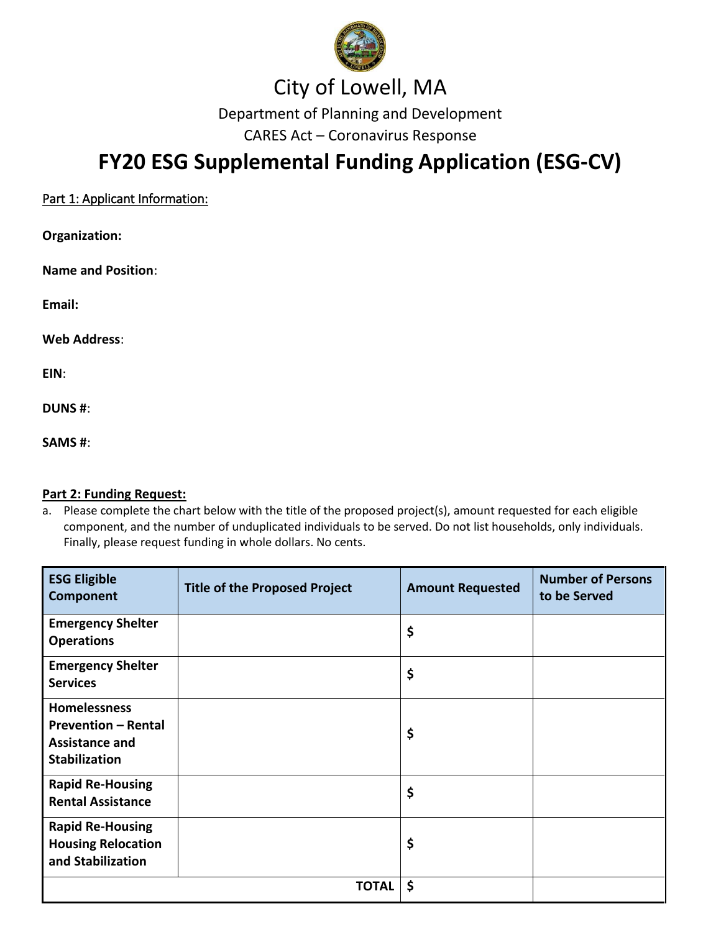

### City of Lowell, MA

Department of Planning and Development

CARES Act – Coronavirus Response

## **FY20 ESG Supplemental Funding Application (ESG-CV)**

| Part 1: Applicant Information: |
|--------------------------------|
|--------------------------------|

| Organization:             |
|---------------------------|
| <b>Name and Position:</b> |
| Email:                    |

**Web Address**:

**EIN**:

**DUNS #**:

**SAMS #**:

#### **Part 2: Funding Request:**

a. Please complete the chart below with the title of the proposed project(s), amount requested for each eligible component, and the number of unduplicated individuals to be served. Do not list households, only individuals. Finally, please request funding in whole dollars. No cents.

| <b>ESG Eligible</b><br>Component                                                                   | <b>Title of the Proposed Project</b> | <b>Amount Requested</b> | <b>Number of Persons</b><br>to be Served |
|----------------------------------------------------------------------------------------------------|--------------------------------------|-------------------------|------------------------------------------|
| <b>Emergency Shelter</b><br><b>Operations</b>                                                      |                                      | \$                      |                                          |
| <b>Emergency Shelter</b><br><b>Services</b>                                                        |                                      | \$                      |                                          |
| <b>Homelessness</b><br><b>Prevention - Rental</b><br><b>Assistance and</b><br><b>Stabilization</b> |                                      | \$                      |                                          |
| <b>Rapid Re-Housing</b><br><b>Rental Assistance</b>                                                |                                      | \$                      |                                          |
| <b>Rapid Re-Housing</b><br><b>Housing Relocation</b><br>and Stabilization                          |                                      | \$                      |                                          |
|                                                                                                    | <b>TOTAL</b>                         | \$                      |                                          |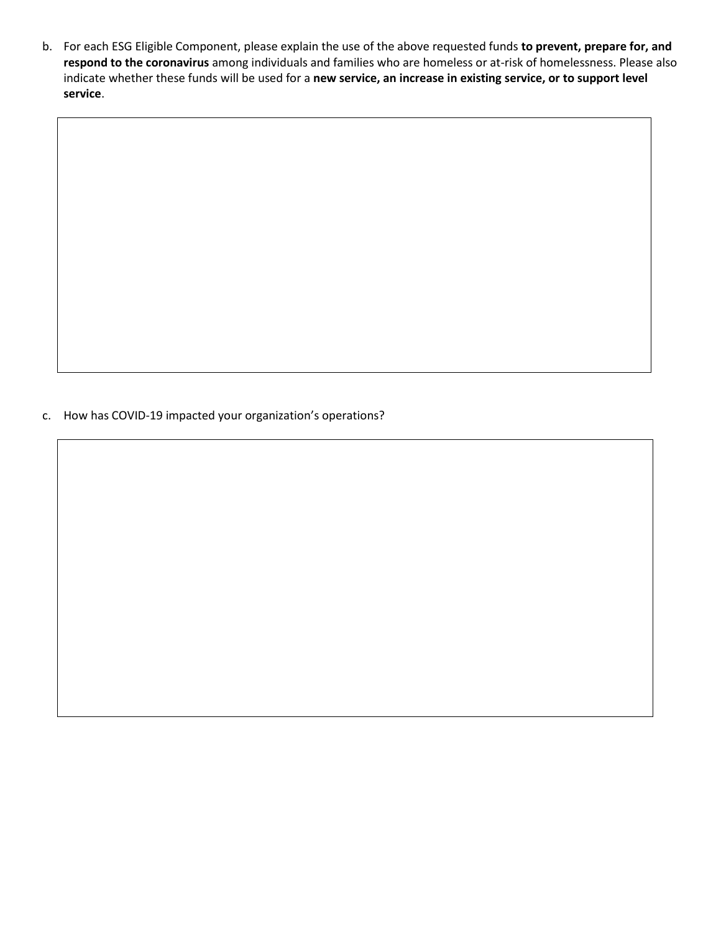b. For each ESG Eligible Component, please explain the use of the above requested funds **to prevent, prepare for, and respond to the coronavirus** among individuals and families who are homeless or at-risk of homelessness. Please also indicate whether these funds will be used for a **new service, an increase in existing service, or to support level service**.

c. How has COVID-19 impacted your organization's operations?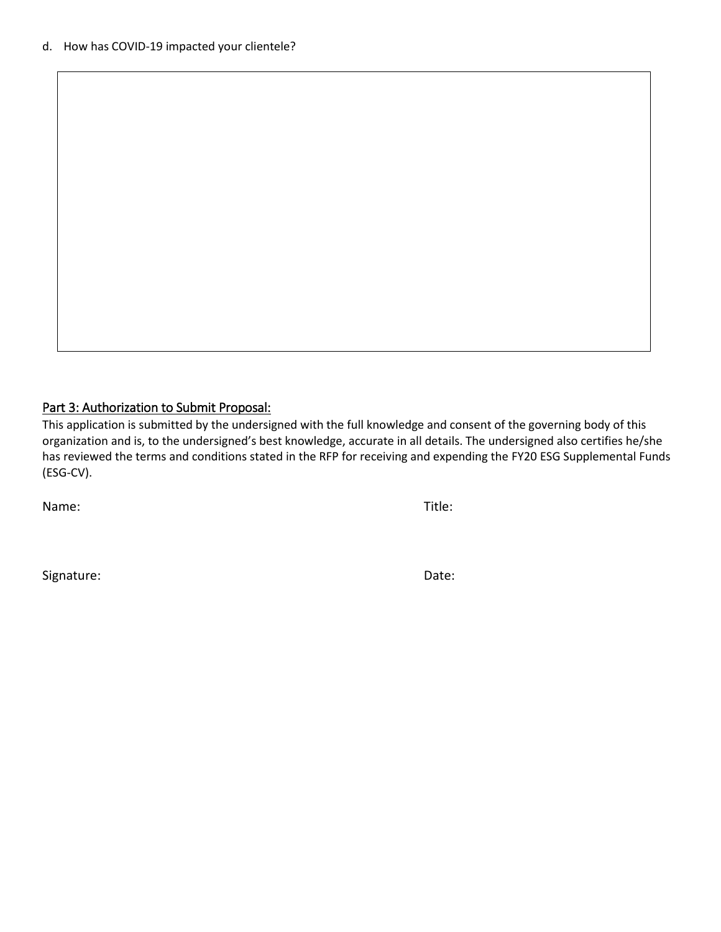#### Part 3: Authorization to Submit Proposal:

This application is submitted by the undersigned with the full knowledge and consent of the governing body of this organization and is, to the undersigned's best knowledge, accurate in all details. The undersigned also certifies he/she has reviewed the terms and conditions stated in the RFP for receiving and expending the FY20 ESG Supplemental Funds (ESG-CV).

Name: Title:

Signature: Date: Date: Date: Date: Date: Date: Date: Date: Date: Date: Date: Date: Date: Date: Date: Date: Date: Date: Date: Date: Date: Date: Date: Date: Date: Date: Date: Date: Date: Date: Date: Date: Date: Date: Date: D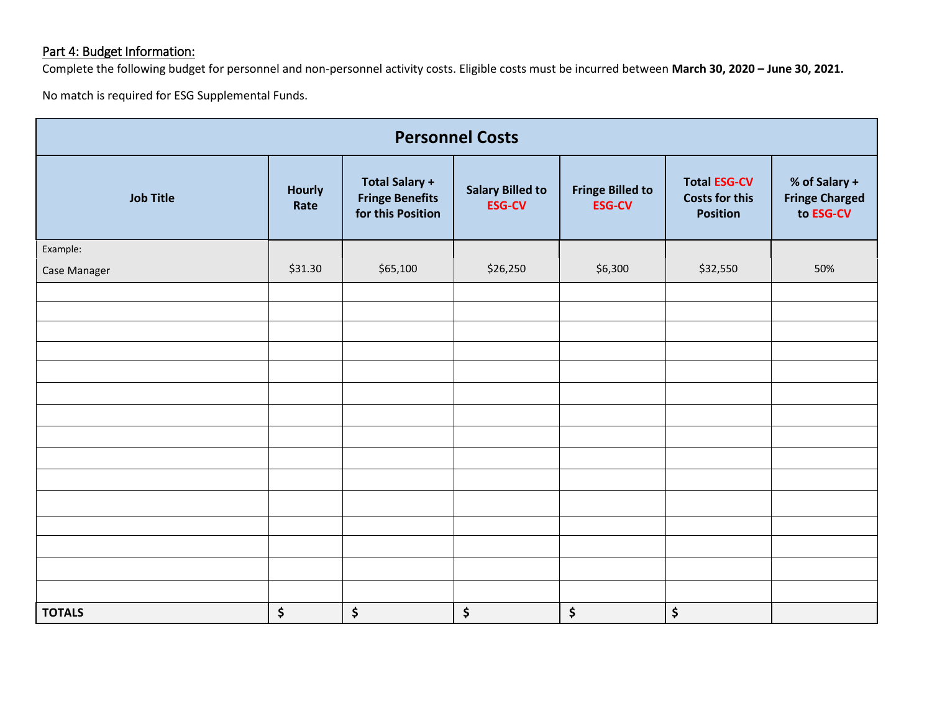### Part 4: Budget Information:

Complete the following budget for personnel and non-personnel activity costs. Eligible costs must be incurred between **March 30, 2020 – June 30, 2021.**

No match is required for ESG Supplemental Funds.

| <b>Personnel Costs</b> |                       |                                                                      |                                          |                                          |                                                                 |                                                     |  |
|------------------------|-----------------------|----------------------------------------------------------------------|------------------------------------------|------------------------------------------|-----------------------------------------------------------------|-----------------------------------------------------|--|
| <b>Job Title</b>       | <b>Hourly</b><br>Rate | <b>Total Salary +</b><br><b>Fringe Benefits</b><br>for this Position | <b>Salary Billed to</b><br><b>ESG-CV</b> | <b>Fringe Billed to</b><br><b>ESG-CV</b> | <b>Total ESG-CV</b><br><b>Costs for this</b><br><b>Position</b> | % of Salary +<br><b>Fringe Charged</b><br>to ESG-CV |  |
| Example:               |                       |                                                                      |                                          |                                          |                                                                 |                                                     |  |
| Case Manager           | \$31.30               | \$65,100                                                             | \$26,250                                 | \$6,300                                  | \$32,550                                                        | 50%                                                 |  |
|                        |                       |                                                                      |                                          |                                          |                                                                 |                                                     |  |
|                        |                       |                                                                      |                                          |                                          |                                                                 |                                                     |  |
|                        |                       |                                                                      |                                          |                                          |                                                                 |                                                     |  |
|                        |                       |                                                                      |                                          |                                          |                                                                 |                                                     |  |
|                        |                       |                                                                      |                                          |                                          |                                                                 |                                                     |  |
|                        |                       |                                                                      |                                          |                                          |                                                                 |                                                     |  |
|                        |                       |                                                                      |                                          |                                          |                                                                 |                                                     |  |
|                        |                       |                                                                      |                                          |                                          |                                                                 |                                                     |  |
|                        |                       |                                                                      |                                          |                                          |                                                                 |                                                     |  |
|                        |                       |                                                                      |                                          |                                          |                                                                 |                                                     |  |
|                        |                       |                                                                      |                                          |                                          |                                                                 |                                                     |  |
|                        |                       |                                                                      |                                          |                                          |                                                                 |                                                     |  |
|                        |                       |                                                                      |                                          |                                          |                                                                 |                                                     |  |
|                        |                       |                                                                      |                                          |                                          |                                                                 |                                                     |  |
| <b>TOTALS</b>          | \$                    | \$                                                                   | \$                                       | \$                                       | \$                                                              |                                                     |  |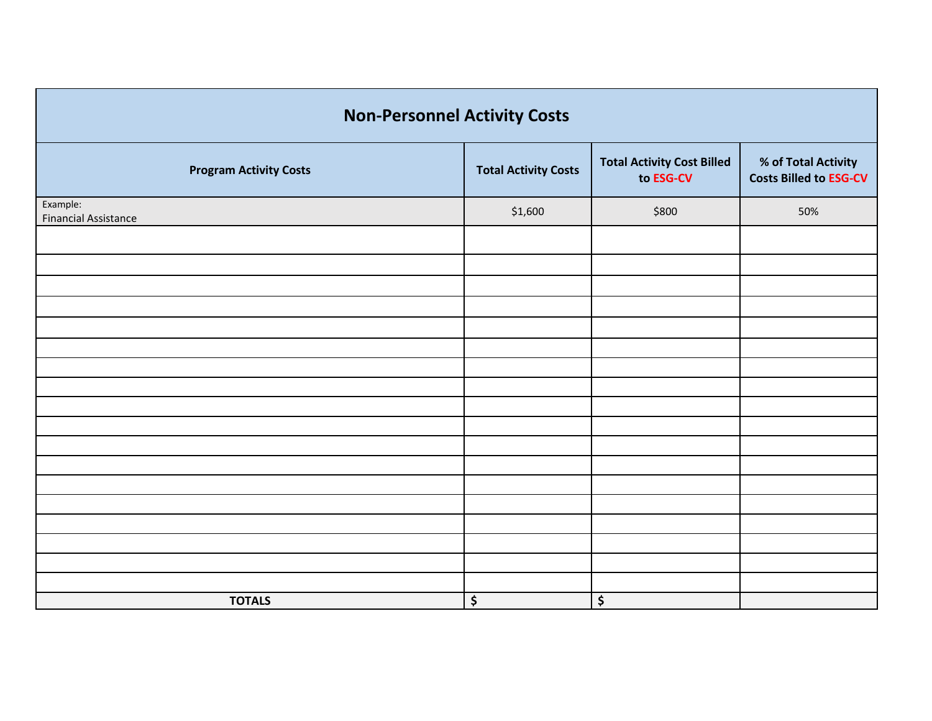| <b>Non-Personnel Activity Costs</b>     |                             |                                                |                                                      |  |  |  |  |
|-----------------------------------------|-----------------------------|------------------------------------------------|------------------------------------------------------|--|--|--|--|
| <b>Program Activity Costs</b>           | <b>Total Activity Costs</b> | <b>Total Activity Cost Billed</b><br>to ESG-CV | % of Total Activity<br><b>Costs Billed to ESG-CV</b> |  |  |  |  |
| Example:<br><b>Financial Assistance</b> | \$1,600                     | \$800                                          | 50%                                                  |  |  |  |  |
|                                         |                             |                                                |                                                      |  |  |  |  |
|                                         |                             |                                                |                                                      |  |  |  |  |
|                                         |                             |                                                |                                                      |  |  |  |  |
|                                         |                             |                                                |                                                      |  |  |  |  |
|                                         |                             |                                                |                                                      |  |  |  |  |
|                                         |                             |                                                |                                                      |  |  |  |  |
|                                         |                             |                                                |                                                      |  |  |  |  |
|                                         |                             |                                                |                                                      |  |  |  |  |
|                                         |                             |                                                |                                                      |  |  |  |  |
|                                         |                             |                                                |                                                      |  |  |  |  |
|                                         |                             |                                                |                                                      |  |  |  |  |
|                                         |                             |                                                |                                                      |  |  |  |  |
|                                         |                             |                                                |                                                      |  |  |  |  |
|                                         |                             |                                                |                                                      |  |  |  |  |
|                                         |                             |                                                |                                                      |  |  |  |  |
|                                         |                             |                                                |                                                      |  |  |  |  |
| <b>TOTALS</b>                           | \$                          | \$                                             |                                                      |  |  |  |  |